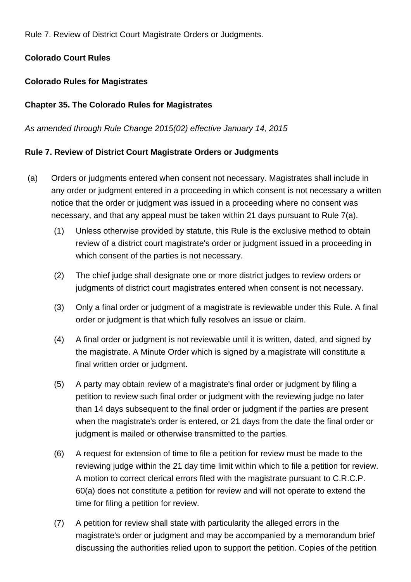Rule 7. Review of District Court Magistrate Orders or Judgments.

# **Colorado Court Rules**

# **Colorado Rules for Magistrates**

## **Chapter 35. The Colorado Rules for Magistrates**

#### As amended through Rule Change 2015(02) effective January 14, 2015

## **Rule 7. Review of District Court Magistrate Orders or Judgments**

- (a) Orders or judgments entered when consent not necessary. Magistrates shall include in any order or judgment entered in a proceeding in which consent is not necessary a written notice that the order or judgment was issued in a proceeding where no consent was necessary, and that any appeal must be taken within 21 days pursuant to Rule 7(a).
	- (1) Unless otherwise provided by statute, this Rule is the exclusive method to obtain review of a district court magistrate's order or judgment issued in a proceeding in which consent of the parties is not necessary.
	- (2) The chief judge shall designate one or more district judges to review orders or judgments of district court magistrates entered when consent is not necessary.
	- (3) Only a final order or judgment of a magistrate is reviewable under this Rule. A final order or judgment is that which fully resolves an issue or claim.
	- (4) A final order or judgment is not reviewable until it is written, dated, and signed by the magistrate. A Minute Order which is signed by a magistrate will constitute a final written order or judgment.
	- (5) A party may obtain review of a magistrate's final order or judgment by filing a petition to review such final order or judgment with the reviewing judge no later than 14 days subsequent to the final order or judgment if the parties are present when the magistrate's order is entered, or 21 days from the date the final order or judgment is mailed or otherwise transmitted to the parties.
	- (6) A request for extension of time to file a petition for review must be made to the reviewing judge within the 21 day time limit within which to file a petition for review. A motion to correct clerical errors filed with the magistrate pursuant to C.R.C.P. 60(a) does not constitute a petition for review and will not operate to extend the time for filing a petition for review.
	- (7) A petition for review shall state with particularity the alleged errors in the magistrate's order or judgment and may be accompanied by a memorandum brief discussing the authorities relied upon to support the petition. Copies of the petition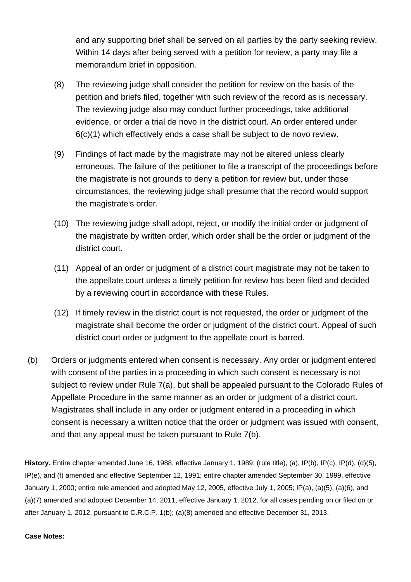and any supporting brief shall be served on all parties by the party seeking review. Within 14 days after being served with a petition for review, a party may file a memorandum brief in opposition.

- (8) The reviewing judge shall consider the petition for review on the basis of the petition and briefs filed, together with such review of the record as is necessary. The reviewing judge also may conduct further proceedings, take additional evidence, or order a trial de novo in the district court. An order entered under 6(c)(1) which effectively ends a case shall be subject to de novo review.
- (9) Findings of fact made by the magistrate may not be altered unless clearly erroneous. The failure of the petitioner to file a transcript of the proceedings before the magistrate is not grounds to deny a petition for review but, under those circumstances, the reviewing judge shall presume that the record would support the magistrate's order.
- (10) The reviewing judge shall adopt, reject, or modify the initial order or judgment of the magistrate by written order, which order shall be the order or judgment of the district court.
- (11) Appeal of an order or judgment of a district court magistrate may not be taken to the appellate court unless a timely petition for review has been filed and decided by a reviewing court in accordance with these Rules.
- (12) If timely review in the district court is not requested, the order or judgment of the magistrate shall become the order or judgment of the district court. Appeal of such district court order or judgment to the appellate court is barred.
- (b) Orders or judgments entered when consent is necessary. Any order or judgment entered with consent of the parties in a proceeding in which such consent is necessary is not subject to review under Rule 7(a), but shall be appealed pursuant to the Colorado Rules of Appellate Procedure in the same manner as an order or judgment of a district court. Magistrates shall include in any order or judgment entered in a proceeding in which consent is necessary a written notice that the order or judgment was issued with consent, and that any appeal must be taken pursuant to Rule 7(b).

**History.** Entire chapter amended June 16, 1988, effective January 1, 1989; (rule title), (a), IP(b), IP(c), IP(d), (d)(5), IP(e), and (f) amended and effective September 12, 1991; entire chapter amended September 30, 1999, effective January 1, 2000; entire rule amended and adopted May 12, 2005, effective July 1, 2005; IP(a), (a)(5), (a)(6), and (a)(7) amended and adopted December 14, 2011, effective January 1, 2012, for all cases pending on or filed on or after January 1, 2012, pursuant to C.R.C.P. 1(b); (a)(8) amended and effective December 31, 2013.

#### **Case Notes:**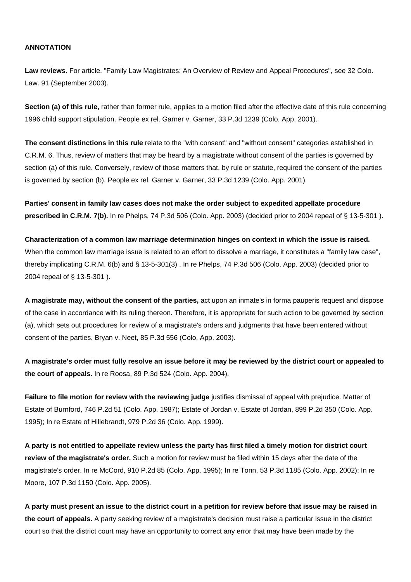#### **ANNOTATION**

**Law reviews.** For article, "Family Law Magistrates: An Overview of Review and Appeal Procedures", see 32 Colo. Law. 91 (September 2003).

**Section (a) of this rule,** rather than former rule, applies to a motion filed after the effective date of this rule concerning 1996 child support stipulation. People ex rel. Garner v. Garner, 33 P.3d 1239 (Colo. App. 2001).

**The consent distinctions in this rule** relate to the "with consent" and "without consent" categories established in C.R.M. 6. Thus, review of matters that may be heard by a magistrate without consent of the parties is governed by section (a) of this rule. Conversely, review of those matters that, by rule or statute, required the consent of the parties is governed by section (b). People ex rel. Garner v. Garner, 33 P.3d 1239 (Colo. App. 2001).

**Parties' consent in family law cases does not make the order subject to expedited appellate procedure prescribed in C.R.M. 7(b).** In re Phelps, 74 P.3d 506 (Colo. App. 2003) (decided prior to 2004 repeal of § 13-5-301 ).

**Characterization of a common law marriage determination hinges on context in which the issue is raised.** When the common law marriage issue is related to an effort to dissolve a marriage, it constitutes a "family law case", thereby implicating C.R.M. 6(b) and § 13-5-301(3) . In re Phelps, 74 P.3d 506 (Colo. App. 2003) (decided prior to 2004 repeal of § 13-5-301 ).

**A magistrate may, without the consent of the parties,** act upon an inmate's in forma pauperis request and dispose of the case in accordance with its ruling thereon. Therefore, it is appropriate for such action to be governed by section (a), which sets out procedures for review of a magistrate's orders and judgments that have been entered without consent of the parties. Bryan v. Neet, 85 P.3d 556 (Colo. App. 2003).

**A magistrate's order must fully resolve an issue before it may be reviewed by the district court or appealed to the court of appeals.** In re Roosa, 89 P.3d 524 (Colo. App. 2004).

**Failure to file motion for review with the reviewing judge** justifies dismissal of appeal with prejudice. Matter of Estate of Burnford, 746 P.2d 51 (Colo. App. 1987); Estate of Jordan v. Estate of Jordan, 899 P.2d 350 (Colo. App. 1995); In re Estate of Hillebrandt, 979 P.2d 36 (Colo. App. 1999).

**A party is not entitled to appellate review unless the party has first filed a timely motion for district court review of the magistrate's order.** Such a motion for review must be filed within 15 days after the date of the magistrate's order. In re McCord, 910 P.2d 85 (Colo. App. 1995); In re Tonn, 53 P.3d 1185 (Colo. App. 2002); In re Moore, 107 P.3d 1150 (Colo. App. 2005).

**A party must present an issue to the district court in a petition for review before that issue may be raised in the court of appeals.** A party seeking review of a magistrate's decision must raise a particular issue in the district court so that the district court may have an opportunity to correct any error that may have been made by the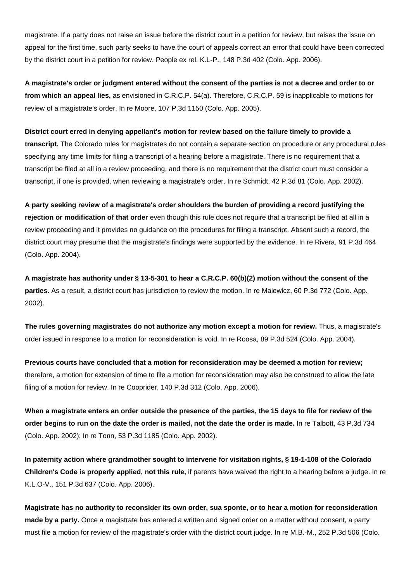magistrate. If a party does not raise an issue before the district court in a petition for review, but raises the issue on appeal for the first time, such party seeks to have the court of appeals correct an error that could have been corrected by the district court in a petition for review. People ex rel. K.L-P., 148 P.3d 402 (Colo. App. 2006).

**A magistrate's order or judgment entered without the consent of the parties is not a decree and order to or from which an appeal lies,** as envisioned in C.R.C.P. 54(a). Therefore, C.R.C.P. 59 is inapplicable to motions for review of a magistrate's order. In re Moore, 107 P.3d 1150 (Colo. App. 2005).

**District court erred in denying appellant's motion for review based on the failure timely to provide a**

**transcript.** The Colorado rules for magistrates do not contain a separate section on procedure or any procedural rules specifying any time limits for filing a transcript of a hearing before a magistrate. There is no requirement that a transcript be filed at all in a review proceeding, and there is no requirement that the district court must consider a transcript, if one is provided, when reviewing a magistrate's order. In re Schmidt, 42 P.3d 81 (Colo. App. 2002).

**A party seeking review of a magistrate's order shoulders the burden of providing a record justifying the rejection or modification of that order** even though this rule does not require that a transcript be filed at all in a review proceeding and it provides no guidance on the procedures for filing a transcript. Absent such a record, the district court may presume that the magistrate's findings were supported by the evidence. In re Rivera, 91 P.3d 464 (Colo. App. 2004).

**A magistrate has authority under § 13-5-301 to hear a C.R.C.P. 60(b)(2) motion without the consent of the parties.** As a result, a district court has jurisdiction to review the motion. In re Malewicz, 60 P.3d 772 (Colo. App. 2002).

**The rules governing magistrates do not authorize any motion except a motion for review.** Thus, a magistrate's order issued in response to a motion for reconsideration is void. In re Roosa, 89 P.3d 524 (Colo. App. 2004).

**Previous courts have concluded that a motion for reconsideration may be deemed a motion for review;** therefore, a motion for extension of time to file a motion for reconsideration may also be construed to allow the late filing of a motion for review. In re Cooprider, 140 P.3d 312 (Colo. App. 2006).

**When a magistrate enters an order outside the presence of the parties, the 15 days to file for review of the order begins to run on the date the order is mailed, not the date the order is made.** In re Talbott, 43 P.3d 734 (Colo. App. 2002); In re Tonn, 53 P.3d 1185 (Colo. App. 2002).

**In paternity action where grandmother sought to intervene for visitation rights, § 19-1-108 of the Colorado Children's Code is properly applied, not this rule,** if parents have waived the right to a hearing before a judge. In re K.L.O-V., 151 P.3d 637 (Colo. App. 2006).

**Magistrate has no authority to reconsider its own order, sua sponte, or to hear a motion for reconsideration made by a party.** Once a magistrate has entered a written and signed order on a matter without consent, a party must file a motion for review of the magistrate's order with the district court judge. In re M.B.-M., 252 P.3d 506 (Colo.